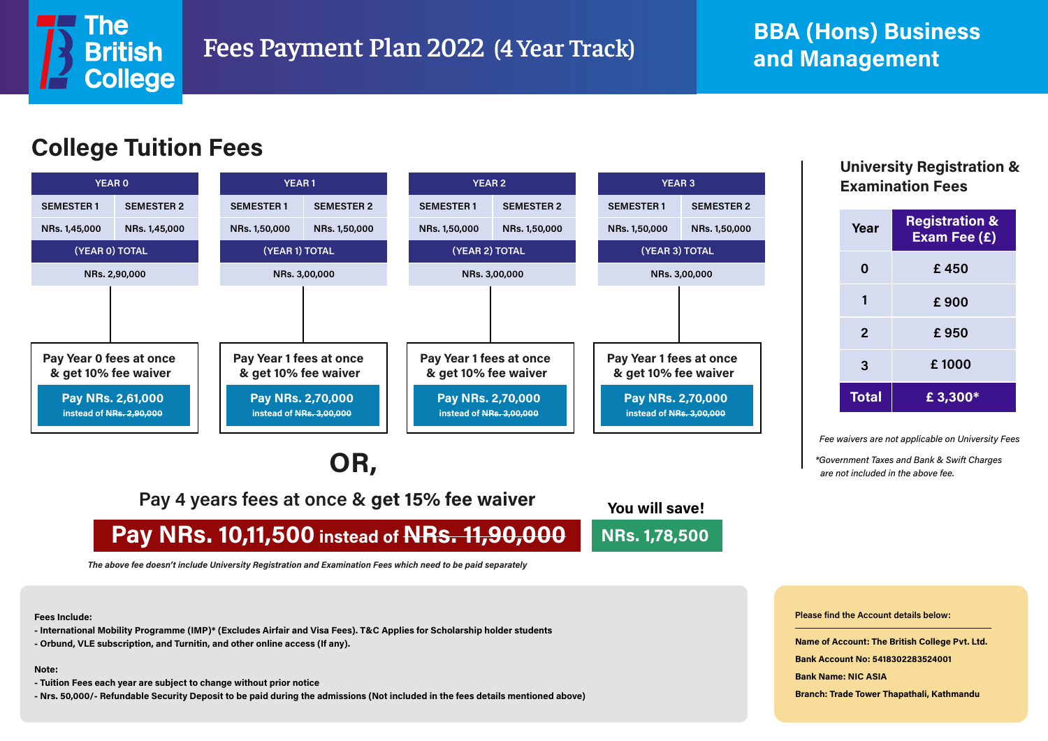

### **BBA (Hons) Business and Management**



## **OR,**

**Pay 4 years fees at once & get 15% fee waiver**

**Pay NRs. 10,11,500 instead of NRs. 11,90,000 You will save! NRs. 1,78,500**

*The above fee doesn't include University Registration and Examination Fees which need to be paid separately*

**Fees Include:**

- **International Mobility Programme (IMP)\* (Excludes Airfair and Visa Fees). T&C Applies for Scholarship holder students**
- **Orbund, VLE subscription, and Turnitin, and other online access (If any).**

**Note:** 

- **Tuition Fees each year are subject to change without prior notice**
- **Nrs. 50,000/- Refundable Security Deposit to be paid during the admissions (Not included in the fees details mentioned above)**

# **Examination Fees**

| Year         | <b>Registration &amp;</b><br><b>Exam Fee (£)</b> |
|--------------|--------------------------------------------------|
| 0            | £450                                             |
|              | £900                                             |
| $\mathbf{2}$ | £950                                             |
| 3            | £1000                                            |
| <b>Total</b> | £ $3,300*$                                       |

*Fee waivers are not applicable on University Fees*

*\*Government Taxes and Bank & Swift Charges are not included in the above fee.*

**Please find the Account details below:**

**Name of Account: The British College Pvt. Ltd.**

**Bank Account No: 5418302283524001**

**Bank Name: NIC ASIA**

**Branch: Trade Tower Thapathali, Kathmandu**